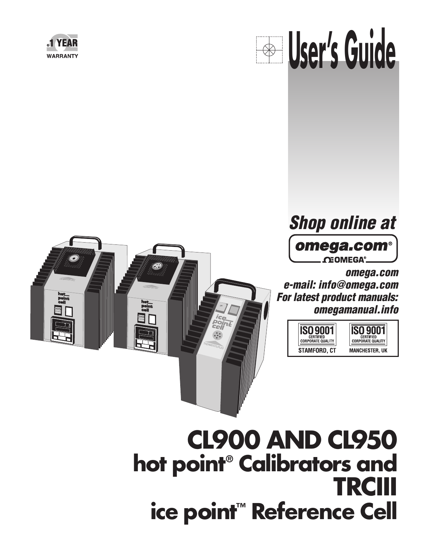





**e-mail: info@omega.com For latest product manuals: omegamanual.info**



**ISO 9001** CERTIFIED<br>CORPORATE QUALITY **MANCHESTER, UK** 

# **CL900 AND CL950 hot point® Calibrators and TRCIII ice point™ Reference Cell**

THERMOCOUPLE.

 $\frac{1}{2}$ 

ice<br>Point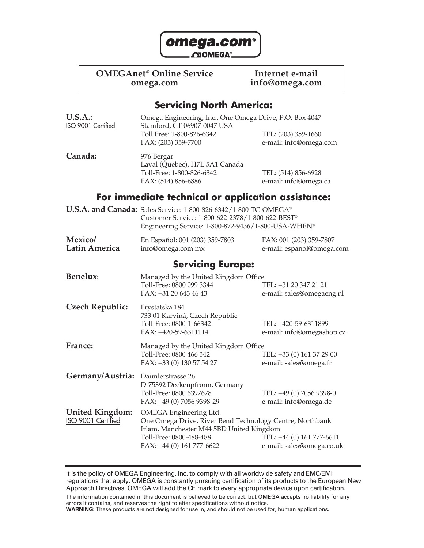

# **OMEGAnet<sup>®</sup> Online Service Internet e-mail<br>
omega.com info@omega.com**

**omega.com info@omega.com**

# **Servicing North America:**

| <b>U.S.A.:</b><br>ISO 9001 Certified                                                                    | Omega Engineering, Inc., One Omega Drive, P.O. Box 4047<br>Stamford, CT 06907-0047 USA<br>Toll Free: 1-800-826-6342<br>TEL: (203) 359-1660                                             |                                                        |
|---------------------------------------------------------------------------------------------------------|----------------------------------------------------------------------------------------------------------------------------------------------------------------------------------------|--------------------------------------------------------|
|                                                                                                         | FAX: (203) 359-7700                                                                                                                                                                    | e-mail: info@omega.com                                 |
| Canada:                                                                                                 | 976 Bergar<br>Laval (Quebec), H7L 5A1 Canada<br>Toll-Free: 1-800-826-6342<br>FAX: (514) 856-6886                                                                                       | TEL: (514) 856-6928<br>e-mail: info@omega.ca           |
|                                                                                                         | For immediate technical or application assistance:                                                                                                                                     |                                                        |
|                                                                                                         | U.S.A. and Canada: Sales Service: 1-800-826-6342/1-800-TC-OMEGA®<br>Customer Service: 1-800-622-2378/1-800-622-BEST®<br>Engineering Service: 1-800-872-9436/1-800-USA-WHEN®            |                                                        |
| Mexico/<br><b>Latin America</b>                                                                         | En Español: 001 (203) 359-7803<br>info@omega.com.mx                                                                                                                                    | FAX: 001 (203) 359-7807<br>e-mail: espanol@omega.com   |
|                                                                                                         | <b>Servicing Europe:</b>                                                                                                                                                               |                                                        |
| <b>Benelux:</b>                                                                                         | Managed by the United Kingdom Office<br>Toll-Free: 0800 099 3344<br>FAX: +31 20 643 46 43                                                                                              | TEL: +31 20 347 21 21<br>e-mail: sales@omegaeng.nl     |
| <b>Czech Republic:</b>                                                                                  | Frystatska 184<br>733 01 Karviná, Czech Republic<br>Toll-Free: 0800-1-66342<br>FAX: +420-59-6311114                                                                                    | TEL: +420-59-6311899<br>e-mail: info@omegashop.cz      |
| France:<br>Managed by the United Kingdom Office<br>Toll-Free: 0800 466 342<br>FAX: +33 (0) 130 57 54 27 |                                                                                                                                                                                        | TEL: +33 (0) 161 37 29 00<br>e-mail: sales@omega.fr    |
| Germany/Austria:                                                                                        | Daimlerstrasse 26<br>D-75392 Deckenpfronn, Germany<br>Toll-Free: 0800 6397678<br>FAX: +49 (0) 7056 9398-29                                                                             | TEL: +49 (0) 7056 9398-0<br>e-mail: info@omega.de      |
| <b>United Kingdom:</b><br><b>ISO 9001 Certified</b>                                                     | OMEGA Engineering Ltd.<br>One Omega Drive, River Bend Technology Centre, Northbank<br>Irlam, Manchester M44 5BD United Kingdom<br>Toll-Free: 0800-488-488<br>FAX: +44 (0) 161 777-6622 | TEL: +44 (0) 161 777-6611<br>e-mail: sales@omega.co.uk |

It is the policy of OMEGA Engineering, Inc. to comply with all worldwide safety and EMC/EMI regulations that apply. OMEGA is constantly pursuing certification of its products to the European New Approach Directives. OMEGA will add the CE mark to every appropriate device upon certification.

The information contained in this document is believed to be correct, but OMEGA accepts no liability for any errors it contains, and reserves the right to alter specifications without notice.

**WARNING:** These products are not designed for use in, and should not be used for, human applications.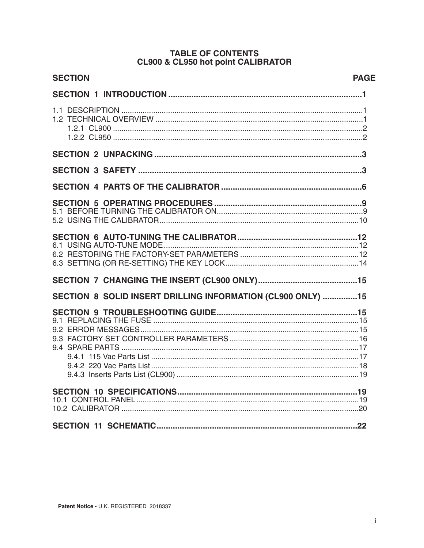# TABLE OF CONTENTS<br>CL900 & CL950 hot point CALIBRATOR

| <b>SECTION</b>                                              | <b>PAGE</b> |
|-------------------------------------------------------------|-------------|
|                                                             |             |
|                                                             |             |
|                                                             |             |
|                                                             |             |
|                                                             |             |
|                                                             |             |
|                                                             |             |
|                                                             |             |
| SECTION 8 SOLID INSERT DRILLING INFORMATION (CL900 ONLY) 15 |             |
|                                                             |             |
|                                                             |             |
|                                                             |             |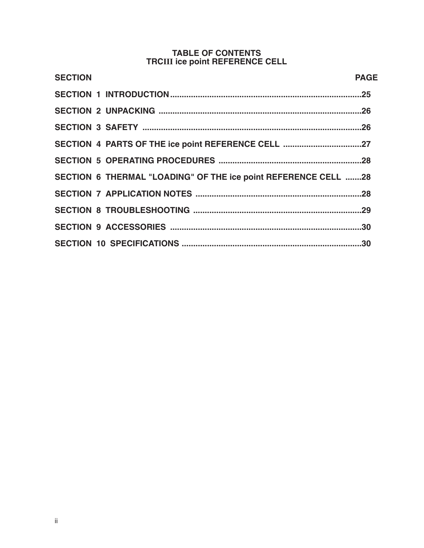# TABLE OF CONTENTS<br>TRCIII ice point REFERENCE CELL

| <b>SECTION</b>                                                 | <b>PAGE</b> |
|----------------------------------------------------------------|-------------|
|                                                                |             |
|                                                                |             |
|                                                                |             |
|                                                                |             |
|                                                                |             |
| SECTION 6 THERMAL "LOADING" OF THE ice point REFERENCE CELL 28 |             |
|                                                                |             |
|                                                                |             |
|                                                                |             |
|                                                                |             |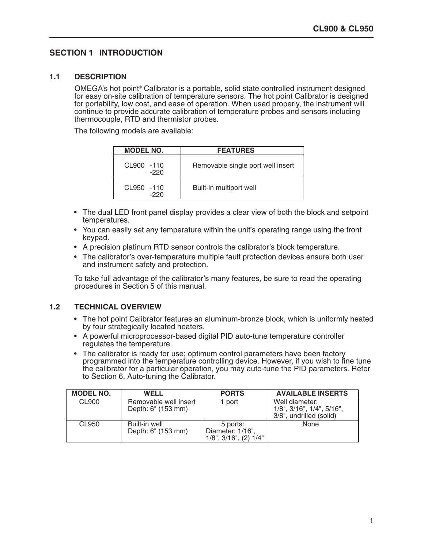## **SECTION 1 INTRODUCTION**

#### $1.1$ **DESCRIPTION**

OMEGA's hot point<sup>®</sup> Calibrator is a portable, solid state controlled instrument designed for easy on-site calibration of temperature sensors. The hot point Calibrator is designed for portability, low cost, and ease of operation. When used properly, the instrument will continue to provide accurate calibration of temperature probes and sensors including thermocouple, RTD and thermistor probes.

The following models are available:

| <b>MODEL NO.</b>   | <b>FEATURES</b>                   |
|--------------------|-----------------------------------|
| CL900 -110<br>-220 | Removable single port well insert |
| CL950 -110<br>-220 | Built-in multiport well           |

- The dual LED front panel display provides a clear view of both the block and setpoint temperatures.
- You can easily set any temperature within the unit's operating range using the front keypad.
- A precision platinum RTD sensor controls the calibrator's block temperature.
- The calibrator's over-temperature multiple fault protection devices ensure both user and instrument safety and protection.

To take full advantage of the calibrator's many features, be sure to read the operating procedures in Section 5 of this manual.

#### $1.2$ **TECHNICAL OVERVIEW**

- The hot point Calibrator features an aluminum-bronze block, which is uniformly heated by four strategically located heaters.
- A powerful microprocessor-based digital PID auto-tune temperature controller regulates the temperature.
- The calibrator is ready for use; optimum control parameters have been factory programmed into the temperature controlling device. However, if you wish to fine tune the calibrator for a particular operation, you may auto-tune the PID parameters. Refer to Section 6, Auto-tuning the Calibrator.

| <b>MODEL NO.</b> | WELL                                        | <b>PORTS</b>                                                     | <b>AVAILABLE INSERTS</b>                                                           |
|------------------|---------------------------------------------|------------------------------------------------------------------|------------------------------------------------------------------------------------|
| <b>CL900</b>     | Removable well insert<br>Depth: 6" (153 mm) | 1 port                                                           | Well diameter:<br>$1/8$ ", $3/16$ ", $1/4$ ", $5/16$ ",<br>3/8", undrilled (solid) |
| CL950            | Built-in well<br>Depth: 6" (153 mm)         | 5 ports:<br>Diameter: 1/16",<br>$1/8$ ", $3/16$ ", $(2)$ $1/4$ " | None                                                                               |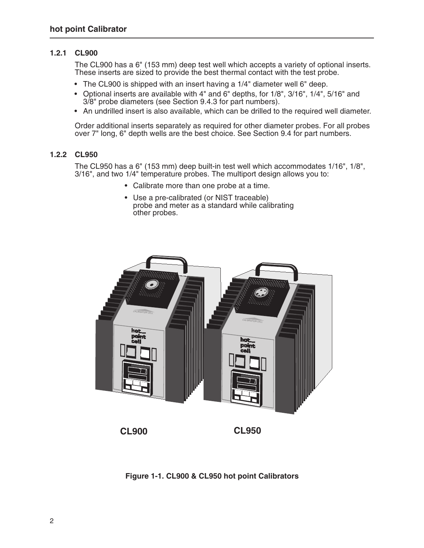### 1.2.1 CL900

The CL900 has a 6" (153 mm) deep test well which accepts a variety of optional inserts. These inserts are sized to provide the best thermal contact with the test probe.

- The CL900 is shipped with an insert having a 1/4" diameter well 6" deep.
- Optional inserts are available with 4" and 6" depths, for 1/8", 3/16", 1/4", 5/16" and 3/8" probe diameters (see Section 9.4.3 for part numbers).
- An undrilled insert is also available, which can be drilled to the required well diameter.

Order additional inserts separately as required for other diameter probes. For all probes over 7" long, 6" depth wells are the best choice. See Section 9.4 for part numbers.

### 1.2.2 CL950

The CL950 has a 6" (153 mm) deep built-in test well which accommodates 1/16", 1/8", 3/16", and two 1/4" temperature probes. The multiport design allows you to:

- Calibrate more than one probe at a time.
- Use a pre-calibrated (or NIST traceable) probe and meter as a standard while calibrating other probes.



**CL900** 

**CL950** 

Figure 1-1. CL900 & CL950 hot point Calibrators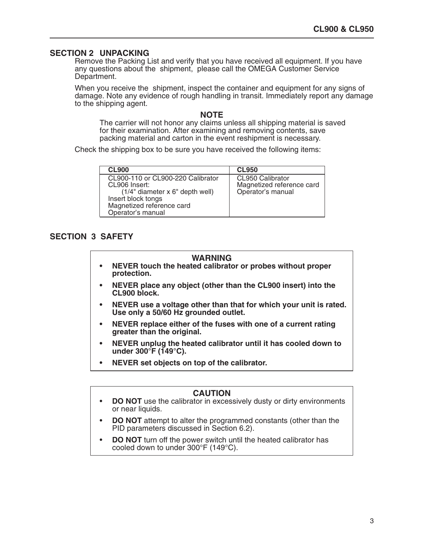### **SECTION 2 UNPACKING**

Remove the Packing List and verify that you have received all equipment. If you have any questions about the shipment, please call the OMEGA Customer Service Department.

When you receive the shipment, inspect the container and equipment for any signs of damage. Note any evidence of rough handling in transit. Immediately report any damage to the shipping agent.

### **NOTE**

The carrier will not honor any claims unless all shipping material is saved for their examination. After examining and removing contents, save packing material and carton in the event reshipment is necessary.

Check the shipping box to be sure you have received the following items:

| <b>CL900</b>                                          | <b>CL950</b>                                  |
|-------------------------------------------------------|-----------------------------------------------|
| CL900-110 or CL900-220 Calibrator<br>CL906 Insert:    | CL950 Calibrator<br>Magnetized reference card |
| (1/4" diameter x 6" depth well)<br>Insert block tongs | Operator's manual                             |
| Magnetized reference card<br>Operator's manual        |                                               |

### **SECTION 3 SAFETY**

### **WARNING**

- NEVER touch the heated calibrator or probes without proper  $\bullet$ protection.
- NEVER place any object (other than the CL900 insert) into the CL900 block.
- NEVER use a voltage other than that for which your unit is rated.  $\bullet$ Use only a 50/60 Hz grounded outlet.
- $\bullet$ NEVER replace either of the fuses with one of a current rating greater than the original.
- NEVER unplug the heated calibrator until it has cooled down to  $\bullet$ under  $300^{\circ}$ F (149 $^{\circ}$ C).
- NEVER set objects on top of the calibrator.  $\bullet$

### **CAUTION**

- **DO NOT** use the calibrator in excessively dusty or dirty environments  $\bullet$ or near liquids.
- DO NOT attempt to alter the programmed constants (other than the  $\bullet$ PID parameters discussed in Section 6.2).
- DO NOT turn off the power switch until the heated calibrator has  $\bullet$ cooled down to under 300°F (149°C).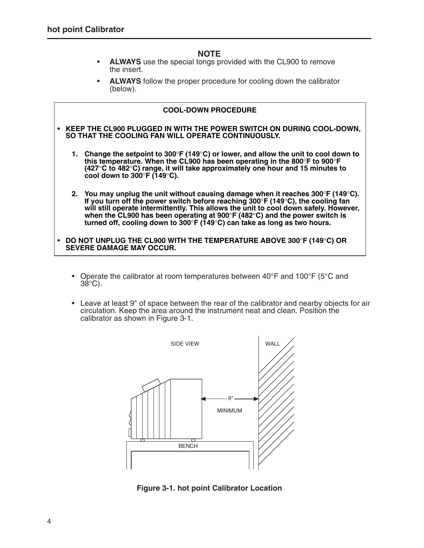### **NOTE**

- ALWAYS use the special tongs provided with the CL900 to remove  $\bullet$ the insert.
- ALWAYS follow the proper procedure for cooling down the calibrator  $\bullet$ (below).

| <b>COOL-DOWN PROCEDURE</b>                                                                                                                                                                                                                                                                                                                                                                                                                                                 |
|----------------------------------------------------------------------------------------------------------------------------------------------------------------------------------------------------------------------------------------------------------------------------------------------------------------------------------------------------------------------------------------------------------------------------------------------------------------------------|
| KEEP THE CL900 PLUGGED IN WITH THE POWER SWITCH ON DURING COOL-DOWN,<br>SO THAT THE COOLING FAN WILL OPERATE CONTINUOUSLY.                                                                                                                                                                                                                                                                                                                                                 |
| 1. Change the setpoint to 300°F (149°C) or lower, and allow the unit to cool down to<br>this temperature. When the CL900 has been operating in the 800°F to 900°F<br>(427°C to 482°C) range, it will take approximately one hour and 15 minutes to<br>cool down to $300^{\circ}$ F (149 $^{\circ}$ C).                                                                                                                                                                     |
| 2. You may unplug the unit without causing damage when it reaches $300^{\circ}$ F (149 $^{\circ}$ C).<br>If you turn off the power switch before reaching 300 $\degree$ F (149 $\degree$ C), the cooling fan<br>will still operate intermittently. This allows the unit to cool down safely. However,<br>when the CL900 has been operating at 900°F (482°C) and the power switch is<br>turned off, cooling down to 300°F ( $149^{\circ}$ C) can take as long as two hours. |
| DO NOT UNPLUG THE CL900 WITH THE TEMPERATURE ABOVE 300°F (149°C) OR<br><b>SEVERE DAMAGE MAY OCCUR.</b>                                                                                                                                                                                                                                                                                                                                                                     |

- Operate the calibrator at room temperatures between 40°F and 100°F (5°C and  $38^{\circ}$ C).
- Leave at least 9" of space between the rear of the calibrator and nearby objects for air circulation. Keep the area around the instrument neat and clean. Position the calibrator as shown in Figure 3-1.



Figure 3-1. hot point Calibrator Location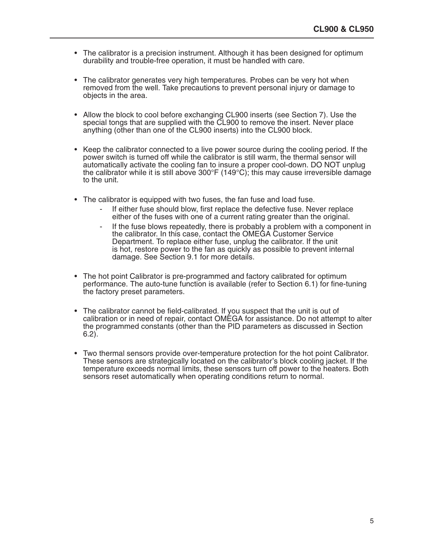- The calibrator is a precision instrument. Although it has been designed for optimum durability and trouble-free operation, it must be handled with care.
- The calibrator generates very high temperatures. Probes can be very hot when removed from the well. Take precautions to prevent personal injury or damage to objects in the area.
- Allow the block to cool before exchanging CL900 inserts (see Section 7). Use the special tongs that are supplied with the CL900 to remove the insert. Never place anything (other than one of the CL900 inserts) into the CL900 block.
- Keep the calibrator connected to a live power source during the cooling period. If the power switch is turned off while the calibrator is still warm, the thermal sensor will automatically activate the cooling fan to insure a proper cool-down. DO NOT unplug the calibrator while it is still above  $300^{\circ}$ F (149 $^{\circ}$ C); this may cause irreversible damage to the unit.
- The calibrator is equipped with two fuses, the fan fuse and load fuse.
	- If either fuse should blow, first replace the defective fuse. Never replace either of the fuses with one of a current rating greater than the original.
	- If the fuse blows repeatedly, there is probably a problem with a component in the calibrator. In this case, contact the OMEGA Customer Service Department. To replace either fuse, unplug the calibrator. If the unit is hot, restore power to the fan as quickly as possible to prevent internal damage. See Section 9.1 for more details.
- The hot point Calibrator is pre-programmed and factory calibrated for optimum  $\bullet$ performance. The auto-tune function is available (refer to Section 6.1) for fine-tuning the factory preset parameters.
- The calibrator cannot be field-calibrated. If you suspect that the unit is out of calibration or in need of repair, contact OMÉGA for assistance. Do not attempt to alter the programmed constants (other than the PID parameters as discussed in Section  $6.2$ ).
- Two thermal sensors provide over-temperature protection for the hot point Calibrator. These sensors are strategically located on the calibrator's block cooling jacket. If the temperature exceeds normal limits, these sensors turn off power to the heaters. Both sensors reset automatically when operating conditions return to normal.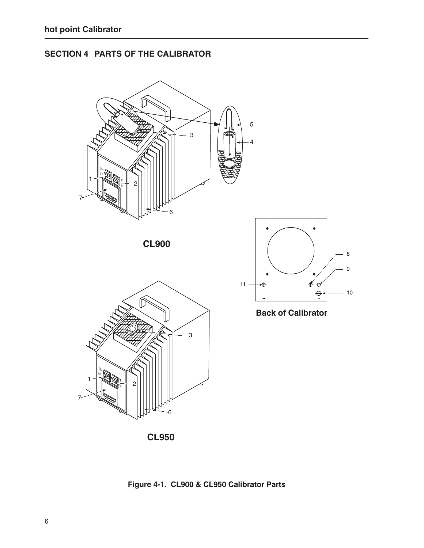# **SECTION 4 PARTS OF THE CALIBRATOR**



**CL950** 

Figure 4-1. CL900 & CL950 Calibrator Parts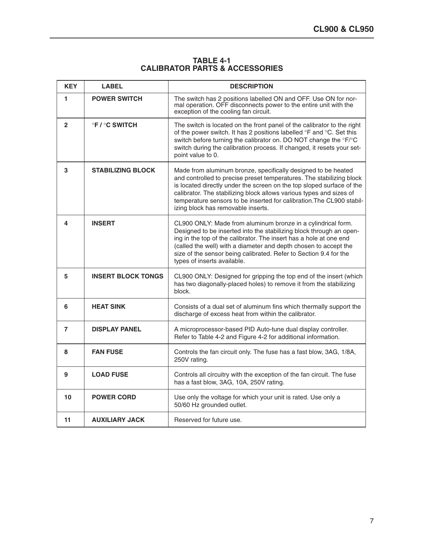# TABLE 4-1<br>CALIBRATOR PARTS & ACCESSORIES

| <b>KEY</b>   | <b>LABEL</b>              | <b>DESCRIPTION</b>                                                                                                                                                                                                                                                                                                                                                                                   |
|--------------|---------------------------|------------------------------------------------------------------------------------------------------------------------------------------------------------------------------------------------------------------------------------------------------------------------------------------------------------------------------------------------------------------------------------------------------|
| 1            | <b>POWER SWITCH</b>       | The switch has 2 positions labelled ON and OFF. Use ON for nor-<br>mal operation. OFF disconnects power to the entire unit with the<br>exception of the cooling fan circuit.                                                                                                                                                                                                                         |
| $\mathbf{2}$ | °F / °C SWITCH            | The switch is located on the front panel of the calibrator to the right<br>of the power switch. It has 2 positions labelled °F and °C. Set this<br>switch before turning the calibrator on. DO NOT change the °F/°C<br>switch during the calibration process. If changed, it resets your set-<br>point value to 0.                                                                                   |
| 3            | <b>STABILIZING BLOCK</b>  | Made from aluminum bronze, specifically designed to be heated<br>and controlled to precise preset temperatures. The stabilizing block<br>is located directly under the screen on the top sloped surface of the<br>calibrator. The stabilizing block allows various types and sizes of<br>temperature sensors to be inserted for calibration. The CL900 stabil-<br>izing block has removable inserts. |
| 4            | <b>INSERT</b>             | CL900 ONLY: Made from aluminum bronze in a cylindrical form.<br>Designed to be inserted into the stabilizing block through an open-<br>ing in the top of the calibrator. The insert has a hole at one end<br>(called the well) with a diameter and depth chosen to accept the<br>size of the sensor being calibrated. Refer to Section 9.4 for the<br>types of inserts available.                    |
| 5            | <b>INSERT BLOCK TONGS</b> | CL900 ONLY: Designed for gripping the top end of the insert (which<br>has two diagonally-placed holes) to remove it from the stabilizing<br>block.                                                                                                                                                                                                                                                   |
| 6            | <b>HEAT SINK</b>          | Consists of a dual set of aluminum fins which thermally support the<br>discharge of excess heat from within the calibrator.                                                                                                                                                                                                                                                                          |
| 7            | <b>DISPLAY PANEL</b>      | A microprocessor-based PID Auto-tune dual display controller.<br>Refer to Table 4-2 and Figure 4-2 for additional information.                                                                                                                                                                                                                                                                       |
| 8            | <b>FAN FUSE</b>           | Controls the fan circuit only. The fuse has a fast blow, 3AG, 1/8A,<br>250V rating.                                                                                                                                                                                                                                                                                                                  |
| 9            | <b>LOAD FUSE</b>          | Controls all circuitry with the exception of the fan circuit. The fuse<br>has a fast blow, 3AG, 10A, 250V rating.                                                                                                                                                                                                                                                                                    |
| 10           | <b>POWER CORD</b>         | Use only the voltage for which your unit is rated. Use only a<br>50/60 Hz grounded outlet.                                                                                                                                                                                                                                                                                                           |
| 11           | <b>AUXILIARY JACK</b>     | Reserved for future use.                                                                                                                                                                                                                                                                                                                                                                             |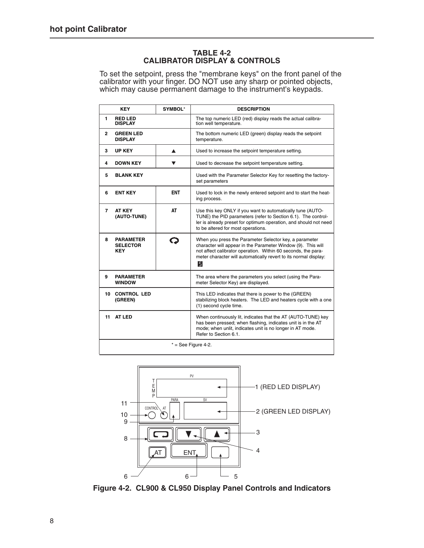# TABLE 4-2<br>CALIBRATOR DISPLAY & CONTROLS

To set the setpoint, press the "membrane keys" on the front panel of the calibrator with your finger. DO NOT use any sharp or pointed objects, which may cause permanent damage to the instrument's keypads.

|                | <b>KEY</b>                                        | <b>SYMBOL*</b> | <b>DESCRIPTION</b>                                                                                                                                                                                                                                               |
|----------------|---------------------------------------------------|----------------|------------------------------------------------------------------------------------------------------------------------------------------------------------------------------------------------------------------------------------------------------------------|
| 1.             | <b>RED LED</b><br><b>DISPLAY</b>                  |                | The top numeric LED (red) display reads the actual calibra-<br>tion well temperature.                                                                                                                                                                            |
| $\overline{2}$ | <b>GREEN LED</b><br><b>DISPLAY</b>                |                | The bottom numeric LED (green) display reads the setpoint<br>temperature.                                                                                                                                                                                        |
| 3              | <b>UP KEY</b>                                     |                | Used to increase the setpoint temperature setting.                                                                                                                                                                                                               |
| 4              | <b>DOWN KEY</b>                                   |                | Used to decrease the setpoint temperature setting.                                                                                                                                                                                                               |
| 5              | <b>BLANK KEY</b>                                  |                | Used with the Parameter Selector Key for resetting the factory-<br>set parameters                                                                                                                                                                                |
| 6              | <b>ENT KEY</b>                                    | <b>ENT</b>     | Used to lock in the newly entered setpoint and to start the heat-<br>ing process.                                                                                                                                                                                |
| 7              | <b>AT KEY</b><br>(AUTO-TUNE)                      | AT             | Use this key ONLY if you want to automatically tune (AUTO-<br>TUNE) the PID parameters (refer to Section 6.1). The control-<br>ler is already preset for optimum operation, and should not need<br>to be altered for most operations.                            |
| 8              | <b>PARAMETER</b><br><b>SELECTOR</b><br><b>KEY</b> | Q              | When you press the Parameter Selector key, a parameter<br>character will appear in the Parameter Window (9). This will<br>not affect calibrator operation. Within 60 seconds, the para-<br>meter character will automatically revert to its normal display:<br>5 |
| 9              | <b>PARAMETER</b><br><b>WINDOW</b>                 |                | The area where the parameters you select (using the Para-<br>meter Selector Key) are displayed.                                                                                                                                                                  |
|                | 10 CONTROL LED<br>(GREEN)                         |                | This LED indicates that there is power to the (GREEN)<br>stabilizing block heaters. The LED and heaters cycle with a one<br>(1) second cycle time.                                                                                                               |
|                | 11 AT LED                                         |                | When continuously lit, indicates that the AT (AUTO-TUNE) key<br>has been pressed; when flashing, indicates unit is in the AT<br>mode; when unlit, indicates unit is no longer in AT mode.<br>Refer to Section 6.1.                                               |
|                | $*$ = See Figure 4-2.                             |                |                                                                                                                                                                                                                                                                  |



Figure 4-2. CL900 & CL950 Display Panel Controls and Indicators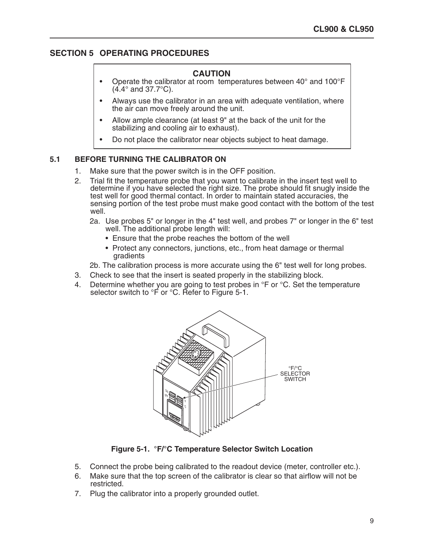### **SECTION 5 OPERATING PROCEDURES**

### **CAUTION**

- Operate the calibrator at room temperatures between 40° and 100°F  $(4.4^{\circ}$  and 37.7 $^{\circ}$ C).
- Always use the calibrator in an area with adequate ventilation, where  $\bullet$ the air can move freely around the unit.
- Allow ample clearance (at least 9" at the back of the unit for the  $\bullet$ stabilizing and cooling air to exhaust).
- Do not place the calibrator near objects subject to heat damage.

#### $5.1$ **BEFORE TURNING THE CALIBRATOR ON**

- $1.$ Make sure that the power switch is in the OFF position.
- Trial fit the temperature probe that you want to calibrate in the insert test well to  $\mathcal{P}_{\mathcal{P}}$ determine if you have selected the right size. The probe should fit snugly inside the test well for good thermal contact. In order to maintain stated accuracies, the sensing portion of the test probe must make good contact with the bottom of the test well
	- 2a. Use probes 5" or longer in the 4" test well, and probes 7" or longer in the 6" test well. The additional probe length will:
		- Ensure that the probe reaches the bottom of the well
		- Protect any connectors, junctions, etc., from heat damage or thermal gradients

2b. The calibration process is more accurate using the 6" test well for long probes.

- 3. Check to see that the insert is seated properly in the stabilizing block.
- $4.$ Determine whether you are going to test probes in °F or °C. Set the temperature selector switch to  ${}^{\circ}$ F or  ${}^{\circ}$ C. Refer to Figure 5-1.



### Figure 5-1. °F/°C Temperature Selector Switch Location

- 5. Connect the probe being calibrated to the readout device (meter, controller etc.).
- Make sure that the top screen of the calibrator is clear so that airflow will not be 6. restricted.
- $7.$ Plug the calibrator into a properly grounded outlet.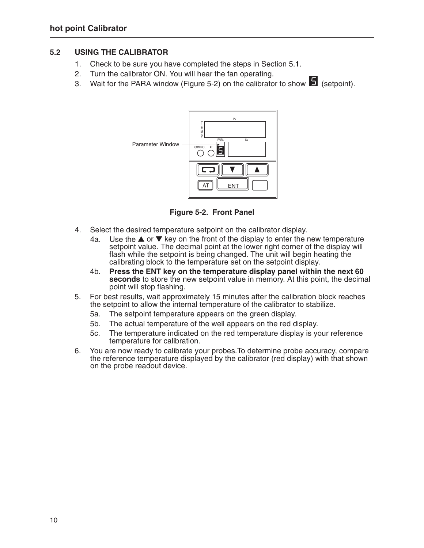#### $5.2$ **USING THE CALIBRATOR**

- Check to be sure you have completed the steps in Section 5.1.  $1.$
- Turn the calibrator ON. You will hear the fan operating.  $2.$
- Wait for the PARA window (Figure 5-2) on the calibrator to show  $\blacksquare$  (setpoint). 3.



Figure 5-2. Front Panel

- 4. Select the desired temperature setpoint on the calibrator display.
	- Use the  $\blacktriangle$  or  $\nabla$  key on the front of the display to enter the new temperature 4a. setpoint value. The decimal point at the lower right corner of the display will flash while the setpoint is being changed. The unit will begin heating the calibrating block to the temperature set on the setpoint display.
	- Press the ENT key on the temperature display panel within the next 60 4b. seconds to store the new setpoint value in memory. At this point, the decimal point will stop flashing.
- For best results, wait approximately 15 minutes after the calibration block reaches 5. the setpoint to allow the internal temperature of the calibrator to stabilize.
	- The setpoint temperature appears on the green display. 5a.
	- The actual temperature of the well appears on the red display. 5b.
	- The temperature indicated on the red temperature display is your reference 5c. temperature for calibration.
- You are now ready to calibrate your probes. To determine probe accuracy, compare 6. the reference temperature displayed by the calibrator (red display) with that shown on the probe readout device.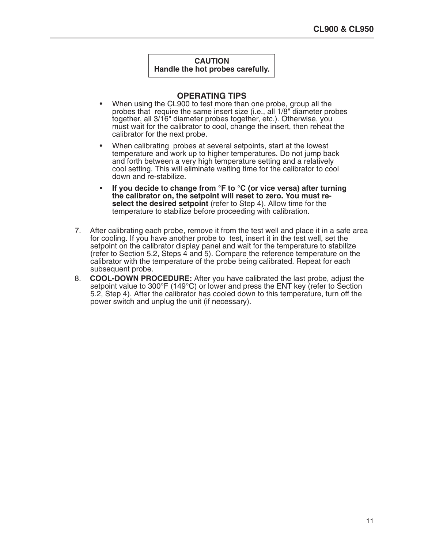### **CAUTION** Handle the hot probes carefully.

### **OPERATING TIPS**

- When using the CL900 to test more than one probe, group all the  $\bullet$ probes that require the same insert size (i.e., all 1/8" diameter probes together, all 3/16" diameter probes together, etc.). Otherwise, you must wait for the calibrator to cool, change the insert, then reheat the calibrator for the next probe.
- When calibrating probes at several setpoints, start at the lowest<br>temperature and work up to higher temperatures. Do not jump back and forth between a very high temperature setting and a relatively cool setting. This will eliminate waiting time for the calibrator to cool down and re-stabilize.
- If you decide to change from  $\degree$ F to  $\degree$ C (or vice versa) after turning the calibrator on, the setpoint will reset to zero. You must reselect the desired setpoint (refer to Step 4). Allow time for the temperature to stabilize before proceeding with calibration.
- $7<sup>1</sup>$ After calibrating each probe, remove it from the test well and place it in a safe area for cooling. If you have another probe to test, insert it in the test well, set the setpoint on the calibrator display panel and wait for the temperature to stabilize (refer to Section 5.2, Steps 4 and 5). Compare the reference temperature on the calibrator with the temperature of the probe being calibrated. Repeat for each subsequent probe.
- **COOL-DOWN PROCEDURE:** After you have calibrated the last probe, adjust the 8. setpoint value to  $300^{\circ}$ F (149 $^{\circ}$ C) or lower and press the ENT key (refer to Section 5.2. Step 4). After the calibrator has cooled down to this temperature, turn off the power switch and unplug the unit (if necessary).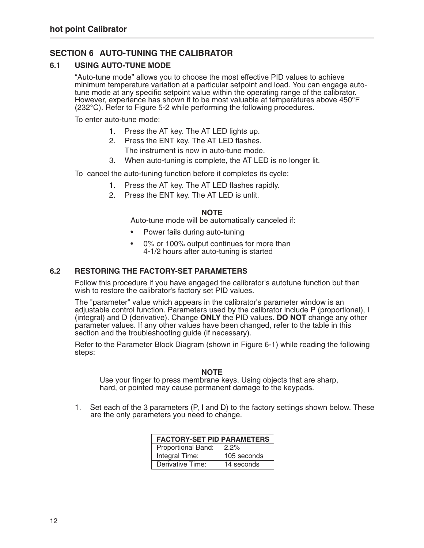### **SECTION 6 AUTO-TUNING THE CALIBRATOR**

#### $6.1$ **USING AUTO-TUNE MODE**

"Auto-tune mode" allows you to choose the most effective PID values to achieve minimum temperature variation at a particular setpoint and load. You can engage autotune mode at any specific setpoint value within the operating range of the calibrator. However, experience has shown it to be most valuable at temperatures above 450°F  $(232^{\circ}C)$ . Refer to Figure 5-2 while performing the following procedures.

To enter auto-tune mode:

- $1.$ Press the AT key. The AT LED lights up.
- $2.$ Press the ENT key. The AT LED flashes. The instrument is now in auto-tune mode.
- $3.$ When auto-tuning is complete, the AT LED is no longer lit.

To cancel the auto-tuning function before it completes its cycle:

- Press the AT key. The AT LED flashes rapidly.  $1<sup>1</sup>$
- $2.$ Press the ENT kev. The AT LED is unlit.

### **NOTE**

Auto-tune mode will be automatically canceled if:

- Power fails during auto-tuning
- 0% or 100% output continues for more than  $\bullet$ 4-1/2 hours after auto-tuning is started

#### **RESTORING THE FACTORY-SET PARAMETERS**  $6.2$

Follow this procedure if you have engaged the calibrator's autotune function but then wish to restore the calibrator's factory set PID values.

The "parameter" value which appears in the calibrator's parameter window is an adjustable control function. Parameters used by the calibrator include P (proportional), I (integral) and D (derivative). Change ONLY the PID values. DO NOT change any other parameter values. If any other values have been changed, refer to the table in this section and the troubleshooting guide (if necessary).

Refer to the Parameter Block Diagram (shown in Figure 6-1) while reading the following steps:

### **NOTE**

Use your finger to press membrane keys. Using objects that are sharp, hard, or pointed may cause permanent damage to the keypads.

Set each of the 3 parameters (P, I and D) to the factory settings shown below. These  $1.$ are the only parameters you need to change.

| <b>FACTORY-SET PID PARAMETERS</b> |             |
|-----------------------------------|-------------|
| Proportional Band:                | $2.2\%$     |
| Integral Time:                    | 105 seconds |
| Derivative Time:                  | 14 seconds  |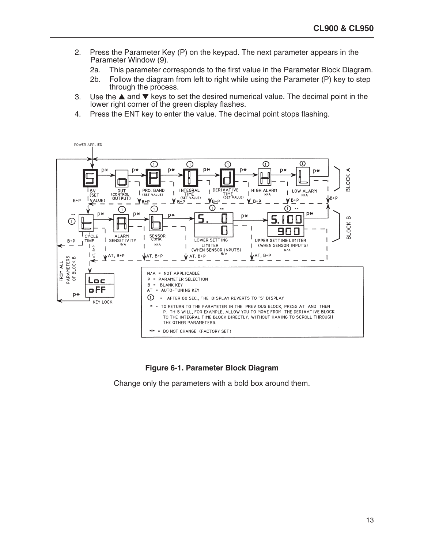- Press the Parameter Key (P) on the keypad. The next parameter appears in the  $2.$ Parameter Window (9).
	- This parameter corresponds to the first value in the Parameter Block Diagram. 2a.
	- $2b.$ Follow the diagram from left to right while using the Parameter (P) key to step through the process.
- Use the  $\blacktriangle$  and  $\nabla$  kevs to set the desired numerical value. The decimal point in the 3. lower right corner of the green display flashes.
- Press the ENT key to enter the value. The decimal point stops flashing. 4.



Figure 6-1. Parameter Block Diagram

Change only the parameters with a bold box around them.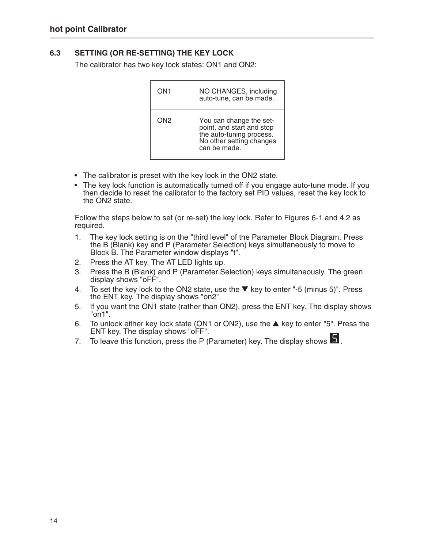#### 6.3 SETTING (OR RE-SETTING) THE KEY LOCK

The calibrator has two key lock states: ON1 and ON2:

| ON1 | NO CHANGES, including<br>auto-tune, can be made.                                                                             |
|-----|------------------------------------------------------------------------------------------------------------------------------|
| ON2 | You can change the set-<br>point, and start and stop<br>the auto-tuning process.<br>No other setting changes<br>can be made. |

- The calibrator is preset with the key lock in the ON2 state.
- The key lock function is automatically turned off if you engage auto-tune mode. If you then decide to reset the calibrator to the factory set PID values, reset the key lock to the ON2 state.

Follow the steps below to set (or re-set) the key lock. Refer to Figures 6-1 and 4.2 as required.

- The key lock setting is on the "third level" of the Parameter Block Diagram. Press  $1<sub>1</sub>$ the B (Blank) key and P (Parameter Selection) keys simultaneously to move to Block B. The Parameter window displays "t".
- $2.$ Press the AT key. The AT LED lights up.
- Press the B (Blank) and P (Parameter Selection) keys simultaneously. The green  $3<sub>1</sub>$ display shows "oFF".
- To set the key lock to the ON2 state, use the  $\nabla$  key to enter "-5 (minus 5)". Press 4. the ENT key. The display shows "on2".
- If you want the ON1 state (rather than ON2), press the ENT key. The display shows 5. " $\overline{on1}$ ".
- To unlock either key lock state (ON1 or ON2), use the ▲ key to enter "5". Press the 6. ENT key. The display shows "oFF".
- To leave this function, press the P (Parameter) key. The display shows  $\blacksquare$ . 7.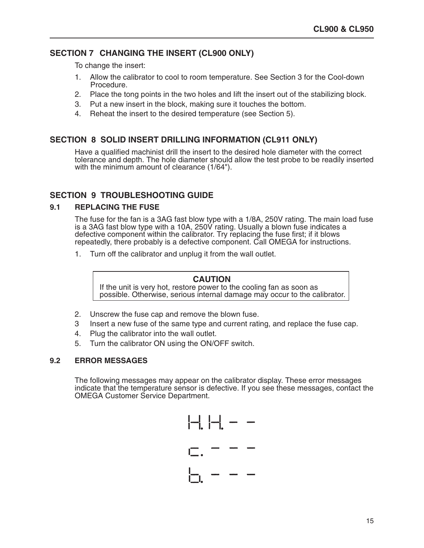### SECTION 7 CHANGING THE INSERT (CL900 ONLY)

To change the insert:

- Allow the calibrator to cool to room temperature. See Section 3 for the Cool-down  $1.$ Procedure.
- 2. Place the tong points in the two holes and lift the insert out of the stabilizing block.
- 3. Put a new insert in the block, making sure it touches the bottom.
- 4. Reheat the insert to the desired temperature (see Section 5).

### SECTION 8 SOLID INSERT DRILLING INFORMATION (CL911 ONLY)

Have a qualified machinist drill the insert to the desired hole diameter with the correct tolerance and depth. The hole diameter should allow the test probe to be readily inserted with the minimum amount of clearance (1/64").

### **SECTION 9 TROUBLESHOOTING GUIDE**

#### $9.1$ **REPLACING THE FUSE**

The fuse for the fan is a 3AG fast blow type with a 1/8A, 250V rating. The main load fuse is a 3AG fast blow type with a 10A, 250V rating. Usually a blown fuse indicates a defective component within the calibrator. Try replacing the fuse first; if it blows repeatedly, there probably is a defective component. Call OMEGA for instructions.

 $1_{-}$ Turn off the calibrator and unplug it from the wall outlet.

### **CAUTION**

If the unit is very hot, restore power to the cooling fan as soon as possible. Otherwise, serious internal damage may occur to the calibrator.

- 2. Unscrew the fuse cap and remove the blown fuse.
- Insert a new fuse of the same type and current rating, and replace the fuse cap.  $\mathcal{S}$
- $4.$ Plug the calibrator into the wall outlet.
- Turn the calibrator ON using the ON/OFF switch. 5.

#### $9<sub>2</sub>$ **ERROR MESSAGES**

The following messages may appear on the calibrator display. These error messages indicate that the temperature sensor is defective. If you see these messages, contact the **OMEGA Customer Service Department.** 

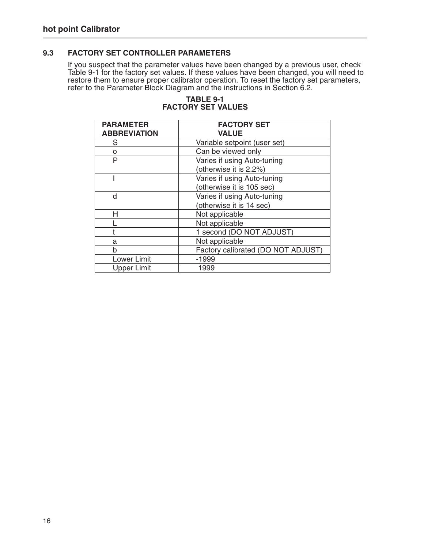#### $9.3$ **FACTORY SET CONTROLLER PARAMETERS**

If you suspect that the parameter values have been changed by a previous user, check<br>Table 9-1 for the factory set values. If these values have been changed, you will need to<br>restore them to ensure proper calibrator operat

| <b>PARAMETER</b>    | <b>FACTORY SET</b>                 |
|---------------------|------------------------------------|
| <b>ABBREVIATION</b> | <b>VALUE</b>                       |
| S                   | Variable setpoint (user set)       |
| O                   | Can be viewed only                 |
| P                   | Varies if using Auto-tuning        |
|                     | (otherwise it is 2.2%)             |
|                     | Varies if using Auto-tuning        |
|                     | (otherwise it is 105 sec)          |
| d                   | Varies if using Auto-tuning        |
|                     | (otherwise it is 14 sec)           |
| н                   | Not applicable                     |
|                     | Not applicable                     |
|                     | 1 second (DO NOT ADJUST)           |
| a                   | Not applicable                     |
| h                   | Factory calibrated (DO NOT ADJUST) |
| <b>Lower Limit</b>  | $-1999$                            |
| <b>Upper Limit</b>  | 1999                               |

### **TABLE 9-1 FACTORY SET VALUES**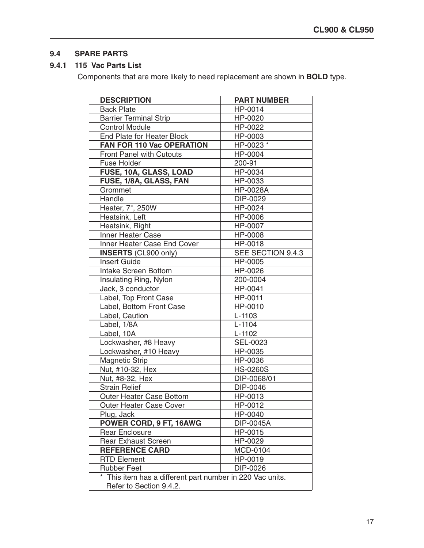#### $9.4$ **SPARE PARTS**

## 9.4.1 115 Vac Parts List

Components that are more likely to need replacement are shown in **BOLD** type.

| <b>DESCRIPTION</b>                                        | <b>PART NUMBER</b> |
|-----------------------------------------------------------|--------------------|
| <b>Back Plate</b>                                         | HP-0014            |
| <b>Barrier Terminal Strip</b>                             | HP-0020            |
| <b>Control Module</b>                                     | HP-0022            |
| <b>End Plate for Heater Block</b>                         | HP-0003            |
| FAN FOR 110 Vac OPERATION                                 | HP-0023 *          |
| <b>Front Panel with Cutouts</b>                           | HP-0004            |
| <b>Fuse Holder</b>                                        | 200-91             |
| FUSE, 10A, GLASS, LOAD                                    | HP-0034            |
| FUSE, 1/8A, GLASS, FAN                                    | HP-0033            |
| Grommet                                                   | HP-0028A           |
| Handle                                                    | DIP-0029           |
| Heater, 7", 250W                                          | HP-0024            |
| Heatsink, Left                                            | HP-0006            |
| Heatsink, Right                                           | HP-0007            |
| <b>Inner Heater Case</b>                                  | HP-0008            |
| Inner Heater Case End Cover                               | HP-0018            |
| <b>INSERTS (CL900 only)</b>                               | SEE SECTION 9.4.3  |
| <b>Insert Guide</b>                                       | HP-0005            |
| Intake Screen Bottom                                      | HP-0026            |
| Insulating Ring, Nylon                                    | 200-0004           |
| Jack, 3 conductor                                         | HP-0041            |
| Label, Top Front Case                                     | HP-0011            |
| Label, Bottom Front Case                                  | HP-0010            |
| Label, Caution                                            | L-1103             |
| Label, 1/8A                                               | L-1104             |
| Label, 10A                                                | $L-1102$           |
| Lockwasher, #8 Heavy                                      | SEL-0023           |
| Lockwasher, #10 Heavy                                     | HP-0035            |
| <b>Magnetic Strip</b>                                     | HP-0036            |
| Nut, #10-32, Hex                                          | <b>HS-0260S</b>    |
| Nut, #8-32, Hex                                           | DIP-0068/01        |
| <b>Strain Relief</b>                                      | DIP-0046           |
| Outer Heater Case Bottom                                  | HP-0013            |
| Outer Heater Case Cover                                   | HP-0012            |
| Plug, Jack                                                | HP-0040            |
| POWER CORD, 9 FT, 16AWG                                   | <b>DIP-0045A</b>   |
| <b>Rear Enclosure</b>                                     | HP-0015            |
| <b>Rear Exhaust Screen</b>                                | HP-0029            |
| <b>REFERENCE CARD</b>                                     | <b>MCD-0104</b>    |
| <b>RTD Element</b>                                        | HP-0019            |
| <b>Rubber Feet</b>                                        | DIP-0026           |
| * This item has a different part number in 220 Vac units. |                    |
| Refer to Section 9.4.2.                                   |                    |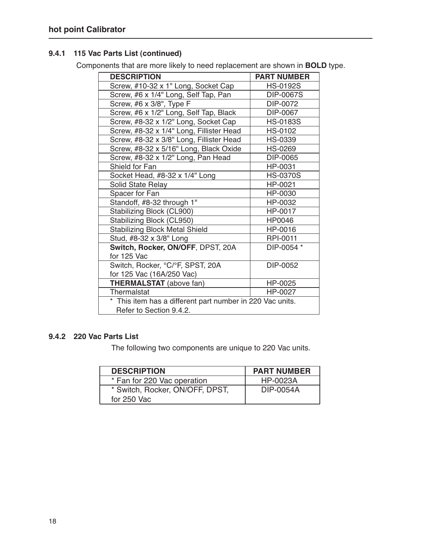### 9.4.1 115 Vac Parts List (continued)

Components that are more likely to need replacement are shown in BOLD type.

| <b>DESCRIPTION</b>                                        | <b>PART NUMBER</b> |
|-----------------------------------------------------------|--------------------|
| Screw, #10-32 x 1" Long, Socket Cap                       | <b>HS-0192S</b>    |
| Screw, #6 x 1/4" Long, Self Tap, Pan                      | <b>DIP-0067S</b>   |
| Screw, #6 x 3/8", Type F                                  | DIP-0072           |
| Screw, #6 x 1/2" Long, Self Tap, Black                    | DIP-0067           |
| Screw, #8-32 x 1/2" Long, Socket Cap                      | <b>HS-0183S</b>    |
| Screw, #8-32 x 1/4" Long, Fillister Head                  | <b>HS-0102</b>     |
| Screw, #8-32 x 3/8" Long, Fillister Head                  | HS-0339            |
| Screw, #8-32 x 5/16" Long, Black Oxide                    | HS-0269            |
| Screw, #8-32 x 1/2" Long, Pan Head                        | DIP-0065           |
| Shield for Fan                                            | HP-0031            |
| Socket Head, #8-32 x 1/4" Long                            | <b>HS-0370S</b>    |
| Solid State Relay                                         | HP-0021            |
| Spacer for Fan                                            | HP-0030            |
| Standoff, #8-32 through 1"                                | HP-0032            |
| Stabilizing Block (CL900)                                 | HP-0017            |
| Stabilizing Block (CL950)                                 | HP0046             |
| <b>Stabilizing Block Metal Shield</b>                     | HP-0016            |
| Stud, #8-32 x 3/8" Long                                   | RPI-0011           |
| Switch, Rocker, ON/OFF, DPST, 20A                         | DIP-0054 *         |
| for 125 Vac                                               |                    |
| Switch, Rocker, °C/°F, SPST, 20A                          | DIP-0052           |
| for 125 Vac (16A/250 Vac)                                 |                    |
| <b>THERMALSTAT</b> (above fan)                            | HP-0025            |
| Thermalstat                                               | HP-0027            |
| * This item has a different part number in 220 Vac units. |                    |
| Refer to Section 9.4.2.                                   |                    |

### 9.4.2 220 Vac Parts List

The following two components are unique to 220 Vac units.

| <b>DESCRIPTION</b>              | <b>PART NUMBER</b> |
|---------------------------------|--------------------|
| * Fan for 220 Vac operation     | HP-0023A           |
| * Switch, Rocker, ON/OFF, DPST, | DIP-0054A          |
| for 250 Vac                     |                    |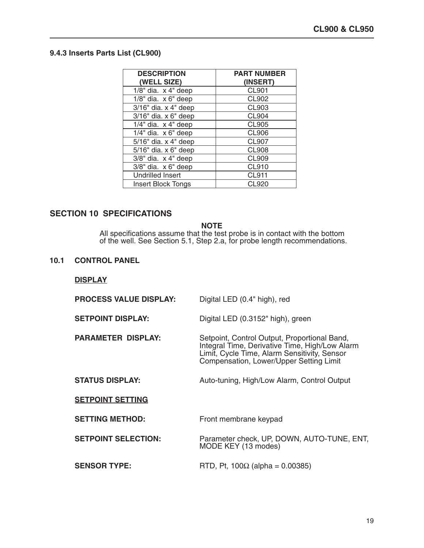### 9.4.3 Inserts Parts List (CL900)

| <b>DESCRIPTION</b>            | <b>PART NUMBER</b> |
|-------------------------------|--------------------|
| (WELL SIZE)                   | (INSERT)           |
| $1/8$ " dia. $x$ 4" deep      | <b>CL901</b>       |
| $1/8$ " dia. $\times$ 6" deep | <b>CL902</b>       |
| $3/16$ " dia. x 4" deep       | <b>CL903</b>       |
| 3/16" dia. x 6" deep          | <b>CL904</b>       |
| $1/4$ " dia. $x$ 4" deep      | <b>CL905</b>       |
| $1/4$ " dia. $x 6$ " deep     | <b>CL906</b>       |
| 5/16" dia. x 4" deep          | <b>CL907</b>       |
| 5/16" dia. x 6" deep          | <b>CL908</b>       |
| $3/8$ " dia. $x$ 4" deep      | <b>CL909</b>       |
| $3/8$ " dia. $\times$ 6" deep | <b>CL910</b>       |
| <b>Undrilled Insert</b>       | <b>CL911</b>       |
| <b>Insert Block Tongs</b>     | <b>CL920</b>       |

### **SECTION 10 SPECIFICATIONS**

**NOTE** 

All specifications assume that the test probe is in contact with the bottom<br>of the well. See Section 5.1, Step 2.a, for probe length recommendations.

### 10.1 CONTROL PANEL

| <b>PROCESS VALUE DISPLAY:</b> | Digital LED (0.4" high), red                                                                                                                                                              |
|-------------------------------|-------------------------------------------------------------------------------------------------------------------------------------------------------------------------------------------|
| <b>SETPOINT DISPLAY:</b>      | Digital LED (0.3152" high), green                                                                                                                                                         |
| <b>PARAMETER DISPLAY:</b>     | Setpoint, Control Output, Proportional Band,<br>Integral Time, Derivative Time, High/Low Alarm<br>Limit, Cycle Time, Alarm Sensitivity, Sensor<br>Compensation, Lower/Upper Setting Limit |
| <b>STATUS DISPLAY:</b>        | Auto-tuning, High/Low Alarm, Control Output                                                                                                                                               |
| <b>SETPOINT SETTING</b>       |                                                                                                                                                                                           |
| <b>SETTING METHOD:</b>        | Front membrane keypad                                                                                                                                                                     |
| <b>SETPOINT SELECTION:</b>    | Parameter check, UP, DOWN, AUTO-TUNE, ENT,<br>MODE KEY (13 modes)                                                                                                                         |
| <b>SENSOR TYPE:</b>           | RTD, Pt, 100 $\Omega$ (alpha = 0.00385)                                                                                                                                                   |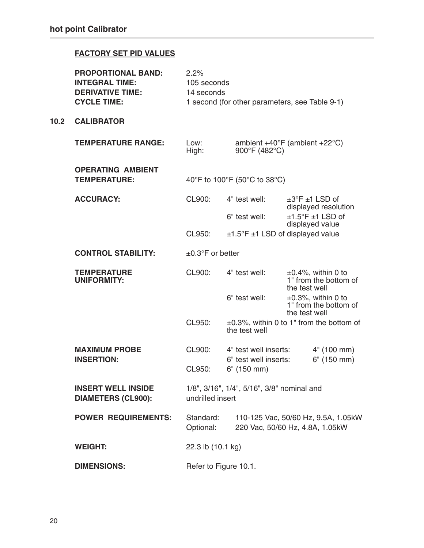## **FACTORY SET PID VALUES**

|      | <b>PROPORTIONAL BAND:</b><br><b>INTEGRAL TIME:</b><br><b>DERIVATIVE TIME:</b><br><b>CYCLE TIME:</b> | 2.2%<br>105 seconds<br>14 seconds<br>1 second (for other parameters, see Table 9-1) |                                                                   |  |                                                                     |
|------|-----------------------------------------------------------------------------------------------------|-------------------------------------------------------------------------------------|-------------------------------------------------------------------|--|---------------------------------------------------------------------|
| 10.2 | <b>CALIBRATOR</b>                                                                                   |                                                                                     |                                                                   |  |                                                                     |
|      | <b>TEMPERATURE RANGE:</b>                                                                           | Low:<br>High:                                                                       | ambient $+40^{\circ}F$ (ambient $+22^{\circ}C$ )<br>900°F (482°C) |  |                                                                     |
|      | <b>OPERATING AMBIENT</b><br><b>TEMPERATURE:</b>                                                     |                                                                                     | 40°F to 100°F (50°C to 38°C)                                      |  |                                                                     |
|      | <b>ACCURACY:</b>                                                                                    | CL900:                                                                              | 4" test well:                                                     |  | $\pm 3$ °F $\pm 1$ LSD of<br>displayed resolution                   |
|      |                                                                                                     |                                                                                     | 6" test well:                                                     |  | $±1.5^{\circ}$ F ±1 LSD of<br>displayed value                       |
|      |                                                                                                     | CL950:                                                                              | $±1.5^{\circ}$ F ±1 LSD of displayed value                        |  |                                                                     |
|      | <b>CONTROL STABILITY:</b>                                                                           | $\pm 0.3$ °F or better                                                              |                                                                   |  |                                                                     |
|      | <b>TEMPERATURE</b><br><b>UNIFORMITY:</b>                                                            | CL900:                                                                              | 4" test well:                                                     |  | $\pm 0.4\%$ , within 0 to<br>1" from the bottom of<br>the test well |
|      |                                                                                                     |                                                                                     | 6" test well:                                                     |  | $\pm 0.3$ %, within 0 to<br>1" from the bottom of<br>the test well  |
|      |                                                                                                     | CL950:                                                                              | the test well                                                     |  | $\pm 0.3$ %, within 0 to 1" from the bottom of                      |
|      | <b>MAXIMUM PROBE</b><br><b>INSERTION:</b>                                                           | CL900:                                                                              | 4" test well inserts:<br>6" test well inserts:                    |  | 4" (100 mm)<br>6" (150 mm)                                          |
|      |                                                                                                     | CL950:                                                                              | $6"$ (150 mm)                                                     |  |                                                                     |
|      | <b>INSERT WELL INSIDE</b><br><b>DIAMETERS (CL900):</b>                                              | undrilled insert                                                                    | 1/8", 3/16", 1/4", 5/16", 3/8" nominal and                        |  |                                                                     |
|      | <b>POWER REQUIREMENTS:</b>                                                                          | Standard:<br>Optional:                                                              | 220 Vac, 50/60 Hz, 4.8A, 1.05kW                                   |  | 110-125 Vac, 50/60 Hz, 9.5A, 1.05kW                                 |
|      | <b>WEIGHT:</b>                                                                                      | 22.3 lb (10.1 kg)                                                                   |                                                                   |  |                                                                     |
|      | <b>DIMENSIONS:</b>                                                                                  | Refer to Figure 10.1.                                                               |                                                                   |  |                                                                     |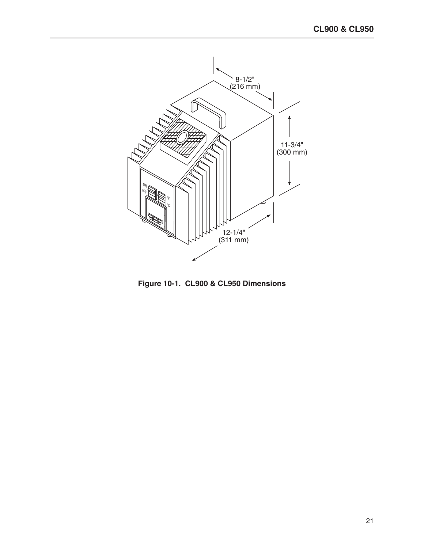

Figure 10-1. CL900 & CL950 Dimensions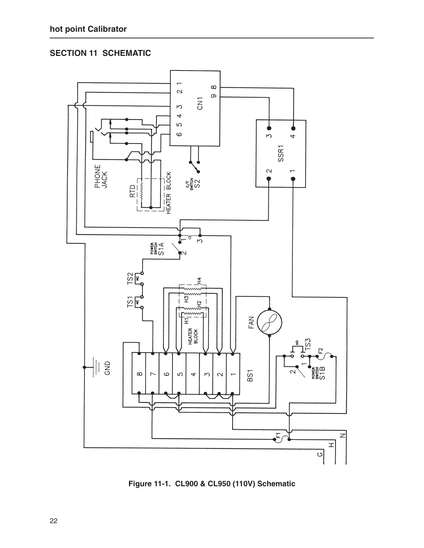# **SECTION 11 SCHEMATIC**



Figure 11-1. CL900 & CL950 (110V) Schematic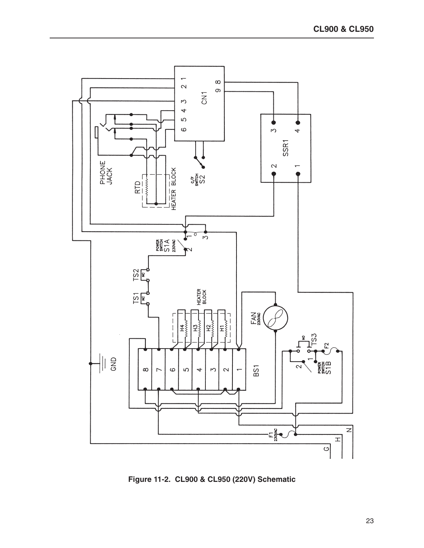

Figure 11-2. CL900 & CL950 (220V) Schematic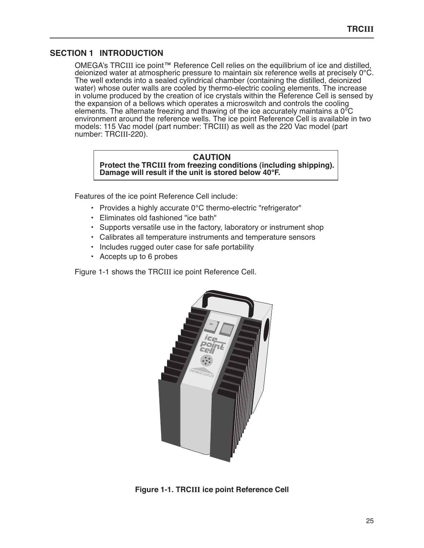## **SECTION 1 INTRODUCTION**

OMEGA's TRCIII ice point™ Reference Cell relies on the equilibrium of ice and distilled. deionized water at atmospheric pressure to maintain six reference wells at precisely 0°C. The well extends into a sealed cylindrical chamber (containing the distilled, deionized water) whose outer walls are cooled by thermo-electric cooling elements. The increase in volume produced by the creation of ice crystals within the Reference Cell is sensed by the expansion of a bellows which operates a microswitch and controls the cooling elements. The alternate freezing and thawing of the ice accurately maintains a  $0^{\circ}$ C environment around the reference wells. The ice point Reference Cell is available in two models: 115 Vac model (part number: TRCIII) as well as the 220 Vac model (part number: TRCIII-220).

### **CAUTION** Protect the TRCIII from freezing conditions (including shipping). Damage will result if the unit is stored below 40°F.

Features of the ice point Reference Cell include:

- Provides a highly accurate  $0^{\circ}$ C thermo-electric "refrigerator"
- Eliminates old fashioned "ice bath"
- Supports versatile use in the factory, laboratory or instrument shop
- Calibrates all temperature instruments and temperature sensors
- Includes rugged outer case for safe portability
- Accepts up to 6 probes

Figure 1-1 shows the TRCIII ice point Reference Cell.



Figure 1-1. TRCIII ice point Reference Cell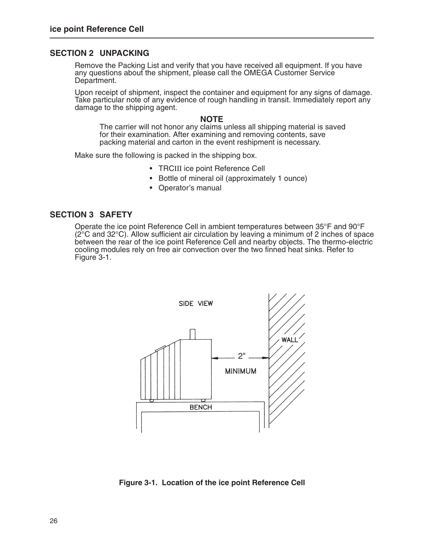### **SECTION 2 UNPACKING**

Remove the Packing List and verify that you have received all equipment. If you have any questions about the shipment, please call the OMEGA Customer Service Department.

Upon receipt of shipment, inspect the container and equipment for any signs of damage. Take particular note of any evidence of rough handling in transit. Immediately report any damage to the shipping agent.

### **NOTE**

The carrier will not honor any claims unless all shipping material is saved for their examination. After examining and removing contents, save packing material and carton in the event reshipment is necessary.

Make sure the following is packed in the shipping box.

- TRCIII ice point Reference Cell
- Bottle of mineral oil (approximately 1 ounce)
- Operator's manual

### **SECTION 3 SAFETY**

Operate the ice point Reference Cell in ambient temperatures between 35°F and 90°F (2°C and 32°C). Allow sufficient air circulation by leaving a minimum of 2 inches of space between the rear of the ice point Reference Cell and nearby objects. The thermo-electric cooling modules rely on free air convection over the two finned heat sinks. Refer to Figure 3-1.



Figure 3-1. Location of the ice point Reference Cell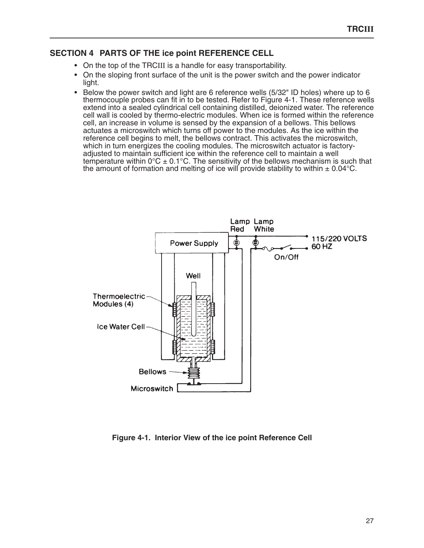### SECTION 4 PARTS OF THE ice point REFERENCE CELL

- On the top of the TRCIII is a handle for easy transportability.
- On the sloping front surface of the unit is the power switch and the power indicator light.
- Below the power switch and light are 6 reference wells (5/32" ID holes) where up to 6 thermocouple probes can fit in to be tested. Refer to Figure 4-1. These reference wells extend into a sealed cylindrical cell containing distilled, deionized water. The reference cell wall is cooled by thermo-electric modules. When ice is formed within the reference cell, an increase in volume is sensed by the expansion of a bellows. This bellows actuates a microswitch which turns off power to the modules. As the ice within the reference cell begins to melt, the bellows contract. This activates the microswitch, which in turn energizes the cooling modules. The microswitch actuator is factoryadjusted to maintain sufficient ice within the reference cell to maintain a well temperature within  $0^{\circ}C \pm 0.1^{\circ}C$ . The sensitivity of the bellows mechanism is such that the amount of formation and melting of ice will provide stability to within  $\pm$  0.04 °C.



Figure 4-1. Interior View of the ice point Reference Cell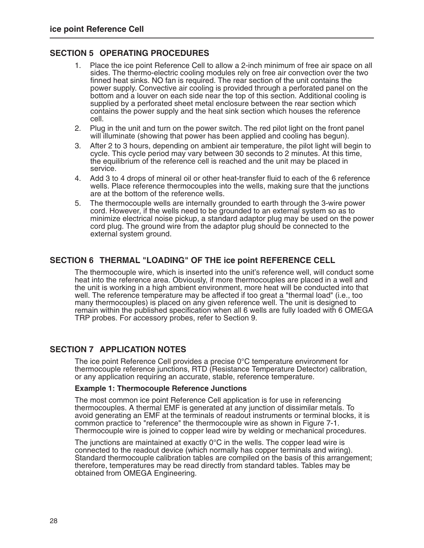### **SECTION 5 OPERATING PROCEDURES**

- 1. Place the ice point Reference Cell to allow a 2-inch minimum of free air space on all sides. The thermo-electric cooling modules rely on free air convection over the two finned heat sinks. NO fan is required. The rear section of the unit contains the power supply. Convective air cooling is provided through a perforated panel on the bottom and a louver on each side near the top of this section. Additional cooling is supplied by a perforated sheet metal enclosure between the rear section which contains the power supply and the heat sink section which houses the reference cell.
- $2.$ Plug in the unit and turn on the power switch. The red pilot light on the front panel will illuminate (showing that power has been applied and cooling has begun).
- After 2 to 3 hours, depending on ambient air temperature, the pilot light will begin to 3. cycle. This cycle period may vary between 30 seconds to 2 minutes. At this time, the equilibrium of the reference cell is reached and the unit may be placed in service.
- 4. Add 3 to 4 drops of mineral oil or other heat-transfer fluid to each of the 6 reference wells. Place reference thermocouples into the wells, making sure that the junctions are at the bottom of the reference wells.
- The thermocouple wells are internally grounded to earth through the 3-wire power 5. cord. However, if the wells need to be grounded to an external system so as to minimize electrical noise pickup, a standard adaptor plug may be used on the power cord plug. The ground wire from the adaptor plug should be connected to the external system ground.

### SECTION 6 THERMAL "LOADING" OF THE ice point REFERENCE CELL

The thermocouple wire, which is inserted into the unit's reference well, will conduct some heat into the reference area. Obviously, if more thermocouples are placed in a well and the unit is working in a high ambient environment, more heat will be conducted into that well. The reference temperature may be affected if too great a "thermal load" (i.e., too many thermocouples) is placed on any given reference well. The unit is designed to remain within the published specification when all 6 wells are fully loaded with 6 OMEGA TRP probes. For accessory probes, refer to Section 9.

### **SECTION 7 APPLICATION NOTES**

The ice point Reference Cell provides a precise 0°C temperature environment for<br>thermocouple reference junctions, RTD (Resistance Temperature Detector) calibration, or any application requiring an accurate, stable, reference temperature.

### **Example 1: Thermocouple Reference Junctions**

The most common ice point Reference Cell application is for use in referencing thermocouples. A thermal EMF is generated at any junction of dissimilar metals. To avoid generating an EMF at the terminals of readout instruments or terminal blocks, it is common practice to "reference" the thermocouple wire as shown in Figure 7-1. Thermocouple wire is joined to copper lead wire by welding or mechanical procedures.

The junctions are maintained at exactly  $0^{\circ}$ C in the wells. The copper lead wire is connected to the readout device (which normally has copper terminals and wiring). Standard thermocouple calibration tables are compiled on the basis of this arrangement; therefore, temperatures may be read directly from standard tables. Tables may be obtained from OMEGA Engineering.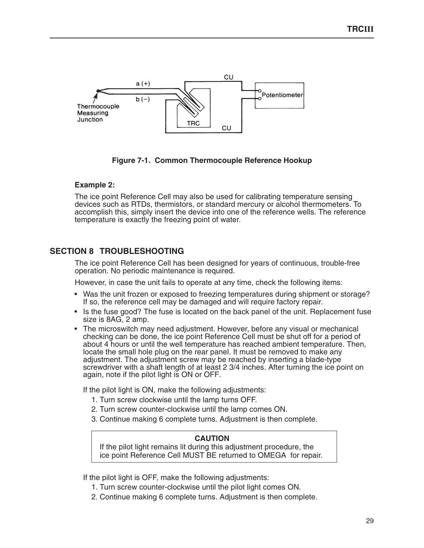

Figure 7-1. Common Thermocouple Reference Hookup

### **Example 2:**

The ice point Reference Cell may also be used for calibrating temperature sensing devices such as RTDs, thermistors, or standard mercury or alcohol thermometers. To accomplish this, simply insert the device into one of the reference wells. The reference temperature is exactly the freezing point of water.

## **SECTION 8 TROUBLESHOOTING**

The ice point Reference Cell has been designed for years of continuous, trouble-free operation. No periodic maintenance is required.

However, in case the unit fails to operate at any time, check the following items:

- Was the unit frozen or exposed to freezing temperatures during shipment or storage? If so, the reference cell may be damaged and will require factory repair.
- Is the fuse good? The fuse is located on the back panel of the unit. Replacement fuse size is 8AG, 2 amp.
- The microswitch may need adjustment. However, before any visual or mechanical checking can be done, the ice point Reference Cell must be shut off for a period of about 4 hours or until the well temperature has reached ambient temperature. Then, locate the small hole plug on the rear panel. It must be removed to make any adjustment. The adjustment screw may be reached by inserting a blade-type screwdriver with a shaft length of at least 2 3/4 inches. After turning the ice point on again, note if the pilot light is ON or OFF.

If the pilot light is ON, make the following adjustments:

- 1. Turn screw clockwise until the lamp turns OFF.
- 2. Turn screw counter-clockwise until the lamp comes ON.
- 3. Continue making 6 complete turns. Adjustment is then complete.

### **CAUTION**

If the pilot light remains lit during this adjustment procedure, the ice point Reference Cell MUST BE returned to OMEGA for repair.

If the pilot light is OFF, make the following adjustments:

- 1. Turn screw counter-clockwise until the pilot light comes ON.
- 2. Continue making 6 complete turns. Adjustment is then complete.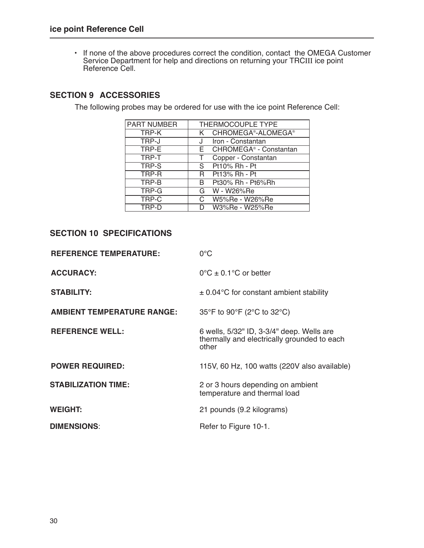• If none of the above procedures correct the condition, contact the OMEGA Customer<br>Service Department for help and directions on returning your TRCIII ice point<br>Reference Cell.

## **SECTION 9 ACCESSORIES**

The following probes may be ordered for use with the ice point Reference Cell:

| <b>PART NUMBER</b> | THERMOCOUPLE TYPE                    |
|--------------------|--------------------------------------|
| TRP-K              | K CHROMEGA®-ALOMEGA®                 |
| TRP-J              | Iron - Constantan<br>$J^-$           |
| TRP-E              | E CHROMEGA <sup>®</sup> - Constantan |
| TRP-T              | Copper - Constantan                  |
| TRP-S              | S Pt10% Rh - Pt                      |
| TRP-R              | R Pt13% Rh - Pt                      |
| TRP-B              | B Pt30% Rh - Pt6%Rh                  |
| TRP-G              | G W - W26%Re                         |
| TRP-C              | C W5%Re - W26%Re                     |
| TRP-D              | W3%Re - W25%Re<br>D.                 |

### **SECTION 10 SPECIFICATIONS**

| <b>REFERENCE TEMPERATURE:</b>     | $0^{\circ}$ C                                                                                     |
|-----------------------------------|---------------------------------------------------------------------------------------------------|
| <b>ACCURACY:</b>                  | $0^{\circ}C \pm 0.1^{\circ}C$ or better                                                           |
| <b>STABILITY:</b>                 | $\pm$ 0.04 °C for constant ambient stability                                                      |
| <b>AMBIENT TEMPERATURE RANGE:</b> | 35°F to 90°F (2°C to 32°C)                                                                        |
| <b>REFERENCE WELL:</b>            | 6 wells, 5/32" ID, 3-3/4" deep. Wells are<br>thermally and electrically grounded to each<br>other |
| <b>POWER REQUIRED:</b>            | 115V, 60 Hz, 100 watts (220V also available)                                                      |
| <b>STABILIZATION TIME:</b>        | 2 or 3 hours depending on ambient<br>temperature and thermal load                                 |
| <b>WEIGHT:</b>                    | 21 pounds (9.2 kilograms)                                                                         |
| <b>DIMENSIONS:</b>                | Refer to Figure 10-1.                                                                             |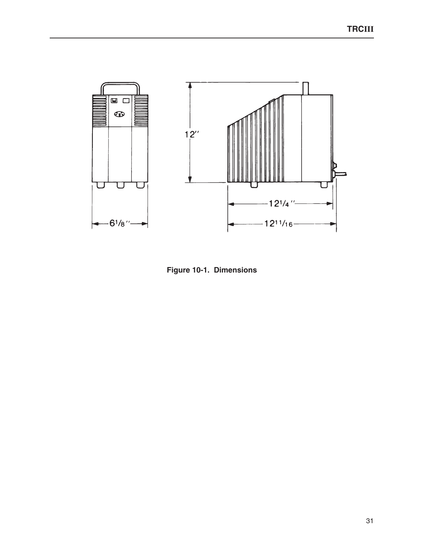

Figure 10-1. Dimensions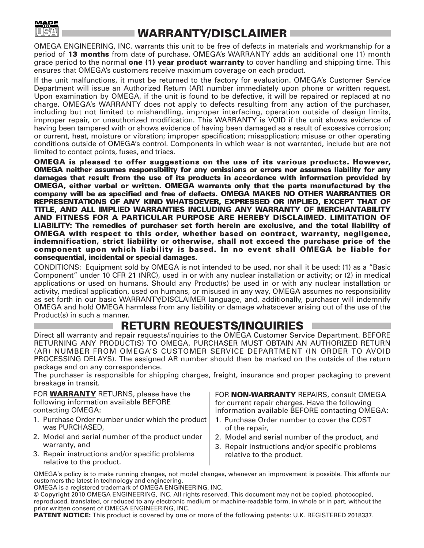

# **WARRANTY/DISCLAIMER**

OMEGA ENGINEERING, INC. warrants this unit to be free of defects in materials and workmanship for a period of **13 months** from date of purchase. OMEGA's WARRANTY adds an additional one (1) month grace period to the normal **one (1) year product warranty** to cover handling and shipping time. This ensures that OMEGA's customers receive maximum coverage on each product.

If the unit malfunctions, it must be returned to the factory for evaluation. OMEGA's Customer Service Department will issue an Authorized Return (AR) number immediately upon phone or written request. Upon examination by OMEGA, if the unit is found to be defective, it will be repaired or replaced at no charge. OMEGA's WARRANTY does not apply to defects resulting from any action of the purchaser, including but not limited to mishandling, improper interfacing, operation outside of design limits, improper repair, or unauthorized modification. This WARRANTY is VOID if the unit shows evidence of having been tampered with or shows evidence of having been damaged as a result of excessive corrosion; or current, heat, moisture or vibration; improper specification; misapplication; misuse or other operating conditions outside of OMEGA's control. Components in which wear is not warranted, include but are not limited to contact points, fuses, and triacs.

**OMEGA is pleased to offer suggestions on the use of its various products. However, OMEGA neither assumes responsibility for any omissions or errors nor assumes liability for any damages that result from the use of its products in accordance with information provided by OMEGA, either verbal or written. OMEGA warrants only that the parts manufactured by the company will be as specified and free of defects. OMEGA MAKES NO OTHER WARRANTIES OR REPRESENTATIONS OF ANY KIND WHATSOEVER, EXPRESSED OR IMPLIED, EXCEPT THAT OF TITLE, AND ALL IMPLIED WARRANTIES INCLUDING ANY WARRANTY OF MERCHANTABILITY AND FITNESS FOR A PARTICULAR PURPOSE ARE HEREBY DISCLAIMED. LIMITATION OF LIABILITY: The remedies of purchaser set forth herein are exclusive, and the total liability of OMEGA with respect to this order, whether based on contract, warranty, negligence, indemnification, strict liability or otherwise, shall not exceed the purchase price of the component upon which liability is based. In no event shall OMEGA be liable for consequential, incidental or special damages.**

CONDITIONS: Equipment sold by OMEGA is not intended to be used, nor shall it be used: (1) as a "Basic Component" under 10 CFR 21 (NRC), used in or with any nuclear installation or activity; or (2) in medical applications or used on humans. Should any Product(s) be used in or with any nuclear installation or activity, medical application, used on humans, or misused in any way, OMEGA assumes no responsibility as set forth in our basic WARRANTY/DISCLAIMER language, and, additionally, purchaser will indemnify OMEGA and hold OMEGA harmless from any liability or damage whatsoever arising out of the use of the Product(s) in such a manner.

# **RETURN REQUESTS/INQUIRIES**

Direct all warranty and repair requests/inquiries to the OMEGA Customer Service Department. BEFORE RETURNING ANY PRODUCT(S) TO OMEGA, PURCHASER MUST OBTAIN AN AUTHORIZED RETURN (AR) NUMBER FROM OMEGA'S CUSTOMER SERVICE DEPARTMENT (IN ORDER TO AVOID PROCESSING DELAYS). The assigned AR number should then be marked on the outside of the return package and on any correspondence.

The purchaser is responsible for shipping charges, freight, insurance and proper packaging to prevent breakage in transit.

FOR **WARRANTY** RETURNS, please have the following information available BEFORE contacting OMEGA:

- 1. Purchase Order number under which the product was PURCHASED,
- 2. Model and serial number of the product under warranty, and
- 3. Repair instructions and/or specific problems relative to the product.

FOR **NON-WARRANTY** REPAIRS, consult OMEGA for current repair charges. Have the following information available BEFORE contacting OMEGA:

- 1. Purchase Order number to cover the COST of the repair,
- 2. Model and serial number of the product, and
- 3. Repair instructions and/or specific problems relative to the product.

OMEGA's policy is to make running changes, not model changes, whenever an improvement is possible. This affords our customers the latest in technology and engineering.

OMEGA is a registered trademark of OMEGA ENGINEERING, INC.

© Copyright 2010 OMEGA ENGINEERING, INC. All rights reserved. This document may not be copied, photocopied, reproduced, translated, or reduced to any electronic medium or machine-readable form, in whole or in part, without the prior written consent of OMEGA ENGINEERING, INC.

**PATENT NOTICE:** This product is covered by one or more of the following patents: U.K. REGISTERED 2018337.